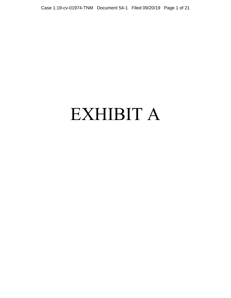# EXHIBIT A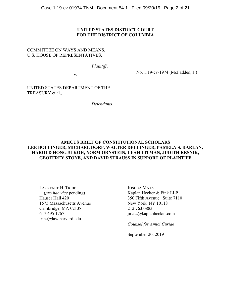## **UNITED STATES DISTRICT COURT FOR THE DISTRICT OF COLUMBIA**

## COMMITTEE ON WAYS AND MEANS, U.S. HOUSE OF REPRESENTATIVES,

*Plaintiff*,

v.

UNITED STATES DEPARTMENT OF THE TREASURY et al.,

*Defendants*.

No. 1:19-cv-1974 (McFadden, J.)

## **AMICUS BRIEF OF CONSTITUTIONAL SCHOLARS LEE BOLLINGER, MICHAEL DORF, WALTER DELLINGER, PAMELA S. KARLAN, HAROLD HONGJU KOH, NORM ORNSTEIN, LEAH LITMAN, JUDITH RESNIK, GEOFFREY STONE, AND DAVID STRAUSS IN SUPPORT OF PLAINTIFF**

LAURENCE H. TRIBE (*pro hac vice* pending) Hauser Hall 420 1575 Massachusetts Avenue Cambridge, MA 02138 617 495 1767 tribe@law.harvard.edu

JOSHUA MATZ Kaplan Hecker & Fink LLP 350 Fifth Avenue | Suite 7110 New York, NY 10118 212.763.0883 jmatz@kaplanhecker.com

*Counsel for Amici Curiae* 

September 20, 2019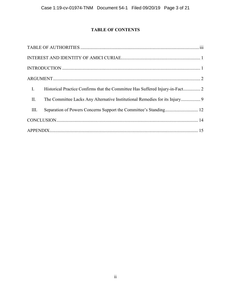# **TABLE OF CONTENTS**

| $\mathbf{I}$ .                                                          |
|-------------------------------------------------------------------------|
| $\prod$ .                                                               |
| Separation of Powers Concerns Support the Committee's Standing 12<br>Ш. |
|                                                                         |
|                                                                         |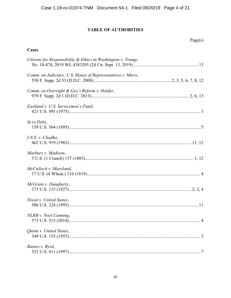# **TABLE OF AUTHORITIES**

## <span id="page-3-0"></span>**Cases**

| Citizens for Responsibility & Ethics in Washington v. Trump, |  |
|--------------------------------------------------------------|--|
| Comm. on Judiciary, U.S. House of Representatives v. Miers,  |  |
| Comm. on Oversight & Gov't Reform v. Holder,                 |  |
| Eastland v. U.S. Servicemen's Fund,                          |  |
| In re Debs,                                                  |  |
| I.N.S. v. Chadha,                                            |  |
| Marbury v. Madison,                                          |  |
| McCulloch v. Maryland,                                       |  |
| McGrain v. Daugherty,                                        |  |
| Nixon v. United States,                                      |  |
| NLRB v. Noel Canning,                                        |  |
| Quinn v. United States,                                      |  |
| Raines v. Byrd,                                              |  |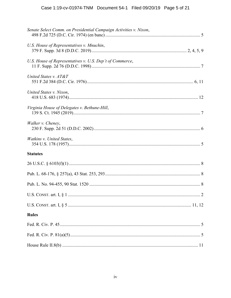| Senate Select Comm. on Presidential Campaign Activities v. Nixon, |
|-------------------------------------------------------------------|
| U.S. House of Representatives v. Mnuchin,                         |
| U.S. House of Representatives v. U.S. Dep't of Commerce,          |
| United States v. AT&T                                             |
| United States v. Nixon,                                           |
| Virginia House of Delegates v. Bethune-Hill,                      |
| Walker v. Cheney,                                                 |
| Watkins v. United States,                                         |
| <b>Statutes</b>                                                   |
|                                                                   |
|                                                                   |
|                                                                   |
|                                                                   |
|                                                                   |
| <b>Rules</b>                                                      |
|                                                                   |
|                                                                   |
|                                                                   |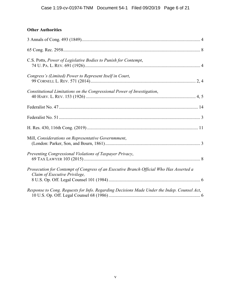# **Other Authorities**

| C.S. Potts, Power of Legislative Bodies to Punish for Contempt,                                                          |
|--------------------------------------------------------------------------------------------------------------------------|
| Congress's (Limited) Power to Represent Itself in Court,                                                                 |
| Constitutional Limitations on the Congressional Power of Investigation,                                                  |
|                                                                                                                          |
|                                                                                                                          |
|                                                                                                                          |
| Mill, Considerations on Representative Governmment,                                                                      |
| Preventing Congressional Violations of Taxpayer Privacy,                                                                 |
| Prosecution for Contempt of Congress of an Executive Branch Official Who Has Asserted a<br>Claim of Executive Privilege, |
| Response to Cong. Requests for Info. Regarding Decisions Made Under the Indep. Counsel Act,                              |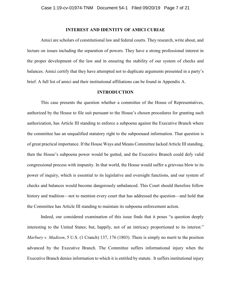#### **INTEREST AND IDENTITY OF AMICI CURIAE**

<span id="page-6-0"></span>Amici are scholars of constitutional law and federal courts. They research, write about, and lecture on issues including the separation of powers. They have a strong professional interest in the proper development of the law and in ensuring the stability of our system of checks and balances. Amici certify that they have attempted not to duplicate arguments presented in a party's brief. A full list of amici and their institutional affiliations can be found in Appendix A.

#### **INTRODUCTION**

<span id="page-6-1"></span>This case presents the question whether a committee of the House of Representatives, authorized by the House to file suit pursuant to the House's chosen procedures for granting such authorization, has Article III standing to enforce a subpoena against the Executive Branch where the committee has an unqualified statutory right to the subpoenaed information. That question is of great practical importance. If the House Ways and Means Committee lacked Article III standing, then the House's subpoena power would be gutted, and the Executive Branch could defy valid congressional process with impunity. In that world, the House would suffer a grievous blow to its power of inquiry, which is essential to its legislative and oversight functions, and our system of checks and balances would become dangerously unbalanced. This Court should therefore follow history and tradition—not to mention every court that has addressed the question—and hold that the Committee has Article III standing to maintain its subpoena enforcement action.

Indeed, our considered examination of this issue finds that it poses "a question deeply interesting to the United States; but, happily, not of an intricacy proportioned to its interest." *Marbury v. Madison*, 5 U.S. (1 Cranch) 137, 176 (1803). There is simply no merit to the position advanced by the Executive Branch. The Committee suffers informational injury when the Executive Branch denies information to which it is entitled by statute. It suffers institutional injury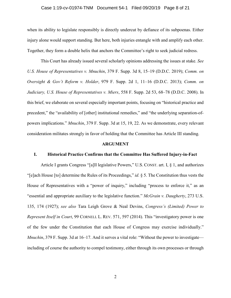#### Case 1:19-cv-01974-TNM Document 54-1 Filed 09/20/19 Page 8 of 21

when its ability to legislate responsibly is directly undercut by defiance of its subpoenas. Either injury alone would support standing. But here, both injuries entangle with and amplify each other. Together, they form a double helix that anchors the Committee's right to seek judicial redress.

This Court has already issued several scholarly opinions addressing the issues at stake. *See U.S. House of Representatives v. Mnuchin*, 379 F. Supp. 3d 8, 15–19 (D.D.C. 2019); *Comm. on Oversight & Gov't Reform v. Holder*, 979 F. Supp. 2d 1, 11–16 (D.D.C. 2013); *Comm. on Judiciary, U.S. House of Representatives v. Miers*, 558 F. Supp. 2d 53, 68–78 (D.D.C. 2008). In this brief, we elaborate on several especially important points, focusing on "historical practice and precedent," the "availability of [other] institutional remedies," and "the underlying separation-ofpowers implications." *Mnuchin*, 379 F. Supp. 3d at 15, 19, 22. As we demonstrate, every relevant consideration militates strongly in favor of holding that the Committee has Article III standing.

#### **ARGUMENT**

#### <span id="page-7-1"></span><span id="page-7-0"></span>**I. Historical Practice Confirms that the Committee Has Suffered Injury-in-Fact**

Article I grants Congress "[a]ll legislative Powers," U.S. CONST. art. I, § 1, and authorizes "[e]ach House [to] determine the Rules of its Proceedings," *id.* § 5. The Constitution thus vests the House of Representatives with a "power of inquiry," including "process to enforce it," as an "essential and appropriate auxiliary to the legislative function." *McGrain v. Daugherty*, 273 U.S. 135, 174 (1927); *see also* Tara Leigh Grove & Neal Devins, *Congress's (Limited) Power to Represent Itself in Court*, 99 CORNELL L. REV. 571, 597 (2014). This "investigatory power is one of the few under the Constitution that each House of Congress may exercise individually." *Mnuchin*, 379 F. Supp. 3d at 16–17. And it serves a vital role: "Without the power to investigate including of course the authority to compel testimony, either through its own processes or through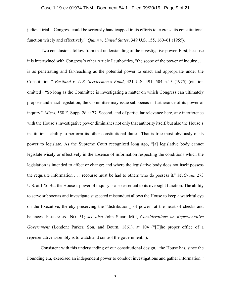#### Case 1:19-cv-01974-TNM Document 54-1 Filed 09/20/19 Page 9 of 21

judicial trial—Congress could be seriously handicapped in its efforts to exercise its constitutional function wisely and effectively." *Quinn v. United States*, 349 U.S. 155, 160–61 (1955).

Two conclusions follow from that understanding of the investigative power. First, because it is intertwined with Congress's other Article I authorities, "the scope of the power of inquiry . . . is as penetrating and far-reaching as the potential power to enact and appropriate under the Constitution." *Eastland v. U.S. Servicemen's Fund*, 421 U.S. 491, 504 n.15 (1975) (citation omitted). "So long as the Committee is investigating a matter on which Congress can ultimately propose and enact legislation, the Committee may issue subpoenas in furtherance of its power of inquiry." *Miers*, 558 F. Supp. 2d at 77. Second, and of particular relevance here, any interference with the House's investigative power diminishes not only that authority itself, but also the House's institutional ability to perform its other constitutional duties. That is true most obviously of its power to legislate. As the Supreme Court recognized long ago, "[a] legislative body cannot legislate wisely or effectively in the absence of information respecting the conditions which the legislation is intended to affect or change; and where the legislative body does not itself possess the requisite information . . . recourse must be had to others who do possess it." *McGrain*, 273 U.S. at 175. But the House's power of inquiry is also essential to its oversight function. The ability to serve subpoenas and investigate suspected misconduct allows the House to keep a watchful eye on the Executive, thereby preserving the "distribution[] of power" at the heart of checks and balances. FEDERALIST NO. 51; *see also* John Stuart Mill, *Considerations on Representative Government* (London: Parker, Son, and Bourn, 1861), at 104 ("[T]he proper office of a representative assembly is to watch and control the government.").

Consistent with this understanding of our constitutional design, "the House has, since the Founding era, exercised an independent power to conduct investigations and gather information."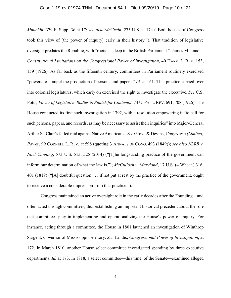#### Case 1:19-cv-01974-TNM Document 54-1 Filed 09/20/19 Page 10 of 21

*Mnuchin*, 379 F. Supp. 3d at 17; *see also McGrain*, 273 U.S. at 174 ("Both houses of Congress took this view of [the power of inquiry] early in their history."). That tradition of legislative oversight predates the Republic, with "roots . . . deep in the British Parliament." James M. Landis, *Constitutional Limitations on the Congressional Power of Investigation*, 40 HARV. L. REV. 153, 159 (1926). As far back as the fifteenth century, committees in Parliament routinely exercised "powers to compel the production of persons and papers." *Id.* at 161. This practice carried over into colonial legislatures, which early on exercised the right to investigate the executive. *See* C.S. Potts, *Power of Legislative Bodies to Punish for Contempt*, 74 U. PA. L. REV. 691, 708 (1926). The House conducted its first such investigation in 1792, with a resolution empowering it "to call for such persons, papers, and records, as may be necessary to assist their inquiries" into Major-General Arthur St. Clair's failed raid against Native Americans. *See* Grove & Devins, *Congress's (Limited) Power*, 99 CORNELL L. REV. at 598 (quoting 3 ANNALS OF CONG. 493 (1849)); *see also NLRB v. Noel Canning*, 573 U.S. 513, 525 (2014) ("[T]he longstanding practice of the government can inform our determination of what the law is."); *McCulloch v. Maryland*, 17 U.S. (4 Wheat.) 316, 401 (1819) ("[A] doubtful question . . . if not put at rest by the practice of the government, ought to receive a considerable impression from that practice.").

 Congress maintained an active oversight role in the early decades after the Founding—and often acted through committees, thus establishing an important historical precedent about the role that committees play in implementing and operationalizing the House's power of inquiry. For instance, acting through a committee, the House in 1801 launched an investigation of Winthrop Sargent, Governor of Mississippi Territory. *See* Landis, *Congressional Power of Investigation*, at 172. In March 1810, another House select committee investigated spending by three executive departments. *Id.* at 173. In 1818, a select committee—this time, of the Senate—examined alleged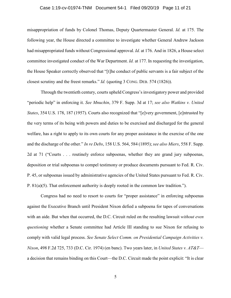#### Case 1:19-cv-01974-TNM Document 54-1 Filed 09/20/19 Page 11 of 21

misappropriation of funds by Colonel Thomas, Deputy Quartermaster General. *Id.* at 175. The following year, the House directed a committee to investigate whether General Andrew Jackson had misappropriated funds without Congressional approval. *Id.* at 176. And in 1826, a House select committee investigated conduct of the War Department. *Id.* at 177. In requesting the investigation, the House Speaker correctly observed that "[t]he conduct of public servants is a fair subject of the closest scrutiny and the freest remarks." *Id.* (quoting 3 CONG. DEB. 574 (1826)).

Through the twentieth century, courts upheld Congress's investigatory power and provided "periodic help" in enforcing it. *See Mnuchin*, 379 F. Supp. 3d at 17; *see also Watkins v. United States*, 354 U.S. 178, 187 (1957). Courts also recognized that "[e]very government, [e]ntrusted by the very terms of its being with powers and duties to be exercised and discharged for the general welfare, has a right to apply to its own courts for any proper assistance in the exercise of the one and the discharge of the other." *In re Debs*, 158 U.S. 564, 584 (1895); *see also Miers*, 558 F. Supp. 2d at 71 ("Courts . . . routinely enforce subpoenas, whether they are grand jury subpoenas, deposition or trial subpoenas to compel testimony or produce documents pursuant to Fed. R. Civ. P. 45, or subpoenas issued by administrative agencies of the United States pursuant to Fed. R. Civ. P. 81(a)(5). That enforcement authority is deeply rooted in the common law tradition.").

 Congress had no need to resort to courts for "proper assistance" in enforcing subpoenas against the Executive Branch until President Nixon defied a subpoena for tapes of conversations with an aide. But when that occurred, the D.C. Circuit ruled on the resulting lawsuit *without even questioning* whether a Senate committee had Article III standing to sue Nixon for refusing to comply with valid legal process. *See Senate Select Comm. on Presidential Campaign Activities v. Nixon*, 498 F.2d 725, 733 (D.C. Cir. 1974) (en banc). Two years later, in *United States v. AT&T* a decision that remains binding on this Court—the D.C. Circuit made the point explicit: "It is clear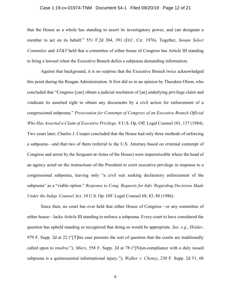#### Case 1:19-cv-01974-TNM Document 54-1 Filed 09/20/19 Page 12 of 21

that the House as a whole has standing to assert its investigatory power, and can designate a member to act on its behalf." 551 F.2d 384, 391 (D.C. Cir. 1976). Together, *Senate Select Committee* and *AT&T* held that a committee of either house of Congress has Article III standing to bring a lawsuit when the Executive Branch defies a subpoena demanding information.

Against that background, it is no surprise that the Executive Branch twice acknowledged this point during the Reagan Administration. It first did so in an opinion by Theodore Olson, who concluded that "Congress [can] obtain a judicial resolution of [an] underlying privilege claim and vindicate its asserted right to obtain any documents by a civil action for enforcement of a congressional subpoena." *Prosecution for Contempt of Congress of an Executive Branch Official Who Has Asserted a Claim of Executive Privilege,* 8 U.S. Op. Off. Legal Counsel 101, 137 (1984). Two years later, Charles J. Cooper concluded that the House had only three methods of enforcing a subpoena—and that two of them (referral to the U.S. Attorney based on criminal contempt of Congress and arrest by the Sergeant-at-Arms of the House) were impermissible where the head of an agency acted on the instructions of the President to exert executive privilege in response to a congressional subpoena, leaving only "a civil suit seeking declaratory enforcement of the subpoena" as a "viable option." *Response to Cong. Requests for Info. Regarding Decisions Made Under the Indep. Counsel Act*, 10 U.S. Op. Off. Legal Counsel 68, 83, 88 (1986).

Since then, no court has ever held that either House of Congress—or any committee of either house—lacks Article III standing to enforce a subpoena. Every court to have considered the question has upheld standing or recognized that doing so would be appropriate. *See, e.g.*, *Holder*, 979 F. Supp. 2d at 22 ("[T]his case presents the sort of question that the courts are traditionally called upon to resolve."); *Miers*, 558 F. Supp. 2d at 78 ("[N]on-compliance with a duly issued subpoena is a quintessential informational injury."); *Walker v. Cheney*, 230 F. Supp. 2d 51, 68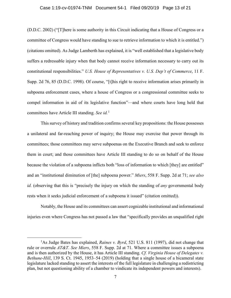#### Case 1:19-cv-01974-TNM Document 54-1 Filed 09/20/19 Page 13 of 21

(D.D.C. 2002) ("[T]here is some authority in this Circuit indicating that a House of Congress or a committee of Congress would have standing to sue to retrieve information to which it is entitled.") (citations omitted). As Judge Lamberth has explained, it is "well established that a legislative body suffers a redressable injury when that body cannot receive information necessary to carry out its constitutional responsibilities." *U.S. House of Representatives v. U.S. Dep't of Commerce*, 11 F. Supp. 2d 76, 85 (D.D.C. 1998). Of course, "[t]his right to receive information arises primarily in subpoena enforcement cases, where a house of Congress or a congressional committee seeks to compel information in aid of its legislative function"—and where courts have long held that committees have Article III standing. *See id.*[1](#page-12-0)

This survey of history and tradition confirms several key propositions: the House possesses a unilateral and far-reaching power of inquiry; the House may exercise that power through its committees; those committees may serve subpoenas on the Executive Branch and seek to enforce them in court; and those committees have Article III standing to do so on behalf of the House because the violation of a subpoena inflicts both "loss of information to which [they] are entitled" and an "institutional diminution of [the] subpoena power." *Miers*, 558 F. Supp. 2d at 71; *see also id.* (observing that this is "precisely the injury on which the standing of *any* governmental body rests when it seeks judicial enforcement of a subpoena it issued" (citation omitted)).

Notably, the House and its committees can assert cognizable institutional and informational injuries even where Congress has not passed a law that "specifically provides an unqualified right

<span id="page-12-0"></span><sup>&</sup>lt;u>1</u> <sup>1</sup>As Judge Bates has explained, *Raines v. Byrd*, 521 U.S. 811 (1997), did not change that rule or overrule *AT&T*. *See Miers*, 558 F. Supp. 2d at 71. Where a committee issues a subpoena and is then authorized by the House, it has Article III standing. *Cf. Virginia House of Delegates v. Bethune-Hill*, 139 S. Ct. 1945, 1953–54 (2019) (holding that a single house of a bicameral state legislature lacked standing to assert the interests of the full legislature in challenging a redistricting plan, but not questioning ability of a chamber to vindicate its independent powers and interests).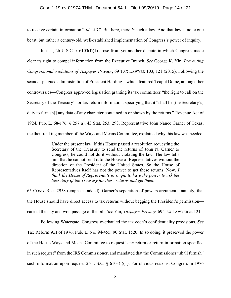#### Case 1:19-cv-01974-TNM Document 54-1 Filed 09/20/19 Page 14 of 21

to receive certain information." *Id.* at 77. But here, there *is* such a law. And that law is no exotic beast, but rather a century-old, well-established implementation of Congress's power of inquiry.

In fact, 26 U.S.C.  $\S 6103(f)(1)$  arose from yet another dispute in which Congress made clear its right to compel information from the Executive Branch. *See* George K. Yin, *Preventing Congressional Violations of Taxpayer Privacy*, 69 TAX LAWYER 103, 121 (2015). Following the scandal-plagued administration of President Harding—which featured Teapot Dome, among other controversies—Congress approved legislation granting its tax committees "the right to call on the Secretary of the Treasury" for tax return information, specifying that it "shall be [the Secretary's] duty to furnish[] any data of any character contained in or shown by the returns." Revenue Act of 1924, Pub. L. 68-176, § 257(a), 43 Stat. 253, 293. Representative John Nance Garner of Texas, the then-ranking member of the Ways and Means Committee, explained why this law was needed:

> Under the present law, if this House passed a resolution requesting the Secretary of the Treasury to send the returns of John N. Garner to Congress, he could not do it without violating the law. The law tells him that he cannot send it to the House of Representatives without the direction of the President of the United States. So the House of Representatives itself has not the power to get these returns. Now, *I think the House of Representatives ought to have the power to ask the Secretary of the Treasury for these returns and get them*.

65 CONG. REC. 2958 (emphasis added). Garner's separation of powers argument—namely, that the House should have direct access to tax returns without begging the President's permission carried the day and won passage of the bill. *See* Yin, *Taxpayer Privacy*, 69 TAX LAWYER at 121.

Following Watergate, Congress overhauled the tax code's confidentiality provisions. *See* Tax Reform Act of 1976, Pub. L. No. 94-455, 90 Stat. 1520. In so doing, it preserved the power of the House Ways and Means Committee to request "any return or return information specified in such request" from the IRS Commissioner, and mandated that the Commissioner "shall furnish" such information upon request. 26 U.S.C.  $\S$  6103(f)(1). For obvious reasons, Congress in 1976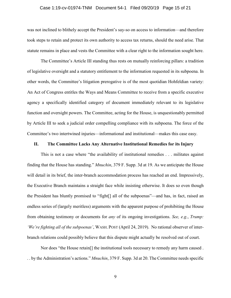#### Case 1:19-cv-01974-TNM Document 54-1 Filed 09/20/19 Page 15 of 21

was not inclined to blithely accept the President's say-so on access to information—and therefore took steps to retain and protect its own authority to access tax returns, should the need arise. That statute remains in place and vests the Committee with a clear right to the information sought here.

The Committee's Article III standing thus rests on mutually reinforcing pillars: a tradition of legislative oversight and a statutory entitlement to the information requested in its subpoena. In other words, the Committee's litigation prerogative is of the most quotidian Hohfeldian variety: An Act of Congress entitles the Ways and Means Committee to receive from a specific executive agency a specifically identified category of document immediately relevant to its legislative function and oversight powers. The Committee, acting for the House, is unquestionably permitted by Article III to seek a judicial order compelling compliance with its subpoena. The force of the Committee's two intertwined injuries—informational and institutional—makes this case easy.

#### <span id="page-14-0"></span>**II. The Committee Lacks Any Alternative Institutional Remedies for its Injury**

This is not a case where "the availability of institutional remedies . . . militates against finding that the House has standing." *Mnuchin*, 379 F. Supp. 3d at 19. As we anticipate the House will detail in its brief, the inter-branch accommodation process has reached an end. Impressively, the Executive Branch maintains a straight face while insisting otherwise. It does so even though the President has bluntly promised to "fight[] all of the subpoenas"—and has, in fact, raised an endless series of (largely meritless) arguments with the apparent purpose of prohibiting the House from obtaining testimony or documents for *any* of its ongoing investigations. *See, e.g.*, *Trump: 'We're fighting all of the subpoenas'*, WASH. POST (April 24, 2019). No rational observer of interbranch relations could possibly believe that this dispute might actually be resolved out of court.

Nor does "the House retain[] the institutional tools necessary to remedy any harm caused . . . by the Administration's actions." *Mnuchin*, 379 F. Supp. 3d at 20. The Committee needs specific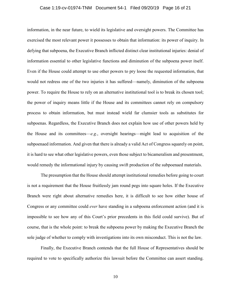#### Case 1:19-cv-01974-TNM Document 54-1 Filed 09/20/19 Page 16 of 21

information, in the near future, to wield its legislative and oversight powers. The Committee has exercised the most relevant power it possesses to obtain that information: its power of inquiry. In defying that subpoena, the Executive Branch inflicted distinct clear institutional injuries: denial of information essential to other legislative functions and diminution of the subpoena power itself. Even if the House could attempt to use other powers to pry loose the requested information, that would not redress one of the two injuries it has suffered—namely, diminution of the subpoena power. To require the House to rely on an alternative institutional tool is to break its chosen tool; the power of inquiry means little if the House and its committees cannot rely on compulsory process to obtain information, but must instead wield far clumsier tools as substitutes for subpoenas. Regardless, the Executive Branch does not explain how use of other powers held by the House and its committees—*e.g.*, oversight hearings—might lead to acquisition of the subpoenaed information. And given that there is already a valid Act of Congress squarely on point, it is hard to see what other legislative powers, even those subject to bicameralism and presentment, would remedy the informational injury by causing swift production of the subpoenaed materials.

The presumption that the House should attempt institutional remedies before going to court is not a requirement that the House fruitlessly jam round pegs into square holes. If the Executive Branch were right about alternative remedies here, it is difficult to see how either house of Congress or any committee could *ever* have standing in a subpoena enforcement action (and it is impossible to see how any of this Court's prior precedents in this field could survive). But of course, that is the whole point: to break the subpoena power by making the Executive Branch the sole judge of whether to comply with investigations into its own misconduct. This is not the law.

Finally, the Executive Branch contends that the full House of Representatives should be required to vote to specifically authorize this lawsuit before the Committee can assert standing.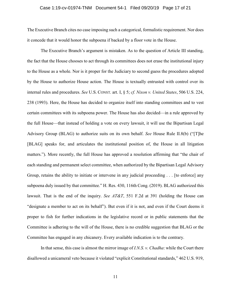#### Case 1:19-cv-01974-TNM Document 54-1 Filed 09/20/19 Page 17 of 21

The Executive Branch cites no case imposing such a categorical, formalistic requirement. Nor does it concede that it would honor the subpoena if backed by a floor vote in the House.

The Executive Branch's argument is mistaken. As to the question of Article III standing, the fact that the House chooses to act through its committees does not erase the institutional injury to the House as a whole. Nor is it proper for the Judiciary to second guess the procedures adopted by the House to authorize House action. The House is textually entrusted with control over its internal rules and procedures. *See* U.S. CONST. art. I, § 5; *cf. Nixon v. United States*, 506 U.S. 224, 238 (1993). Here, the House has decided to organize itself into standing committees and to vest certain committees with its subpoena power. The House has also decided—in a rule approved by the full House—that instead of holding a vote on every lawsuit, it will use the Bipartisan Legal Advisory Group (BLAG) to authorize suits on its own behalf. *See* House Rule II.8(b) ("[T]he [BLAG] speaks for, and articulates the institutional position of, the House in all litigation matters."). More recently, the full House has approved a resolution affirming that "the chair of each standing and permanent select committee, when authorized by the Bipartisan Legal Advisory Group, retains the ability to initiate or intervene in any judicial proceeding . . . [to enforce] any subpoena duly issued by that committee." H. Res. 430, 116th Cong. (2019). BLAG authorized this lawsuit. That is the end of the inquiry. *See AT&T*, 551 F.2d at 391 (holding the House can "designate a member to act on its behalf"). But even if it is not, and even if the Court deems it proper to fish for further indications in the legislative record or in public statements that the Committee is adhering to the will of the House, there is no credible suggestion that BLAG or the Committee has engaged in any chicanery. Every available indication is to the contrary.

In that sense, this case is almost the mirror image of *I.N.S. v. Chadha*: while the Court there disallowed a unicameral veto because it violated "explicit Constitutional standards," 462 U.S. 919,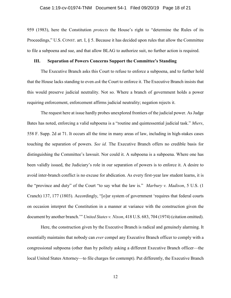959 (1983), here the Constitution *protects* the House's right to "determine the Rules of its Proceedings," U.S. CONST. art. I, § 5. Because it has decided upon rules that allow the Committee to file a subpoena and sue, and that allow BLAG to authorize suit, no further action is required.

#### <span id="page-17-0"></span>**III. Separation of Powers Concerns Support the Committee's Standing**

The Executive Branch asks this Court to refuse to enforce a subpoena, and to further hold that the House lacks standing to even *ask* the Court to enforce it. The Executive Branch insists that this would preserve judicial neutrality. Not so. Where a branch of government holds a power requiring enforcement, enforcement affirms judicial neutrality; negation rejects it.

The request here at issue hardly probes unexplored frontiers of the judicial power. As Judge Bates has noted, enforcing a valid subpoena is a "routine and quintessential judicial task." *Miers*, 558 F. Supp. 2d at 71. It occurs all the time in many areas of law, including in high-stakes cases touching the separation of powers. *See id.* The Executive Branch offers no credible basis for distinguishing the Committee's lawsuit. Nor could it. A subpoena is a subpoena. Where one has been validly issued, the Judiciary's role in our separation of powers is to enforce it. A desire to avoid inter-branch conflict is no excuse for abdication. As every first-year law student learns, it is the "province and duty" of the Court "to say what the law is." *Marbury v. Madison*, 5 U.S. (1 Cranch) 137, 177 (1803). Accordingly, "[o]ur system of government 'requires that federal courts on occasion interpret the Constitution in a manner at variance with the construction given the document by another branch.'" *United States v. Nixon*, 418 U.S. 683, 704 (1974) (citation omitted).

Here, the construction given by the Executive Branch is radical and genuinely alarming. It essentially maintains that nobody can *ever* compel any Executive Branch officer to comply with a congressional subpoena (other than by politely asking a different Executive Branch officer—the local United States Attorney—to file charges for contempt). Put differently, the Executive Branch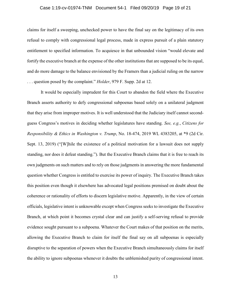#### Case 1:19-cv-01974-TNM Document 54-1 Filed 09/20/19 Page 19 of 21

claims for itself a sweeping, unchecked power to have the final say on the legitimacy of its own refusal to comply with congressional legal process, made in express pursuit of a plain statutory entitlement to specified information. To acquiesce in that unbounded vision "would elevate and fortify the executive branch at the expense of the other institutions that are supposed to be its equal, and do more damage to the balance envisioned by the Framers than a judicial ruling on the narrow . . . question posed by the complaint." *Holder*, 979 F. Supp. 2d at 12.

It would be especially imprudent for this Court to abandon the field where the Executive Branch asserts authority to defy congressional subpoenas based solely on a unilateral judgment that they arise from improper motives. It is well understood that the Judiciary itself cannot secondguess Congress's motives in deciding whether legislatures have standing. *See, e.g.*, *Citizens for Responsibility & Ethics in Washington v. Trump*, No. 18-474, 2019 WL 4383205, at \*9 (2d Cir. Sept. 13, 2019) ("[W]hile the existence of a political motivation for a lawsuit does not supply standing, nor does it defeat standing."). But the Executive Branch claims that it is free to reach its own judgments on such matters and to rely on those judgments in answering the more fundamental question whether Congress is entitled to exercise its power of inquiry. The Executive Branch takes this position even though it elsewhere has advocated legal positions premised on doubt about the coherence or rationality of efforts to discern legislative motive. Apparently, in the view of certain officials, legislative intent is unknowable except when Congress seeks to investigate the Executive Branch, at which point it becomes crystal clear and can justify a self-serving refusal to provide evidence sought pursuant to a subpoena. Whatever the Court makes of that position on the merits, allowing the Executive Branch to claim for itself the final say on all subpoenas is especially disruptive to the separation of powers when the Executive Branch simultaneously claims for itself the ability to ignore subpoenas whenever it doubts the unblemished purity of congressional intent.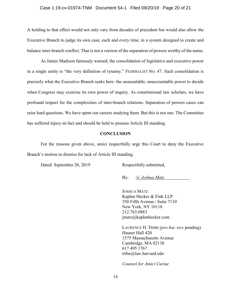#### Case 1:19-cv-01974-TNM Document 54-1 Filed 09/20/19 Page 20 of 21

A holding to that effect would not only vary from decades of precedent but would also allow the Executive Branch to judge its own case, each and every time, in a system designed to create and balance inter-branch conflict. That is not a version of the separation of powers worthy of the name.

As James Madison famously warned, the consolidation of legislative and executive power in a single entity is "the very definition of tyranny." FEDERALIST NO. 47. Such consolidation is precisely what the Executive Branch seeks here: the unassailable, unaccountable power to decide when Congress may exercise its own power of inquiry. As constitutional law scholars, we have profound respect for the complexities of inter-branch relations. Separation of powers cases can raise hard questions. We have spent our careers studying them. But this is not one. The Committee has suffered injury-in-fact and should be held to possess Article III standing.

#### **CONCLUSION**

<span id="page-19-0"></span>For the reasons given above, amici respectfully urge this Court to deny the Executive Branch's motion to dismiss for lack of Article III standing.

Dated: September 20, 2019 Respectfully submitted,

By: /s/ *Joshua Matz*

JOSHUA MATZ Kaplan Hecker & Fink LLP 350 Fifth Avenue | Suite 7110 New York, NY 10118 212.763.0883 jmatz@kaplanhecker.com

LAURENCE H. TRIBE (*pro hac vice* pending) Hauser Hall 420 1575 Massachusetts Avenue Cambridge, MA 02138 617 495 1767 tribe@law.harvard.edu

*Counsel for Amici Curiae*